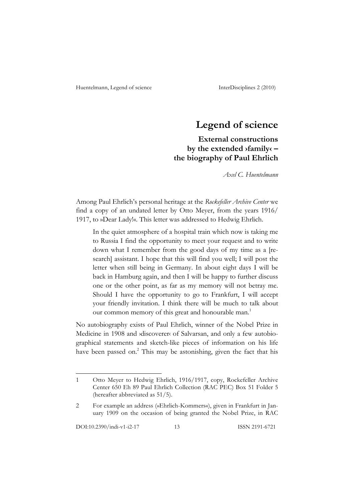# **Legend of science**

**External constructions by the extended ›family‹ – the biography of Paul Ehrlich**

*Axel C. Huentelmann*

Among Paul Ehrlich's personal heritage at the *Rockefeller Archive Center* we find a copy of an undated letter by Otto Meyer, from the years 1916/ 1917, to »Dear Lady!«. This letter was addressed to Hedwig Ehrlich.

In the quiet atmosphere of a hospital train which now is taking me to Russia I find the opportunity to meet your request and to write down what I remember from the good days of my time as a [research] assistant. I hope that this will find you well; I will post the letter when still being in Germany. In about eight days I will be back in Hamburg again, and then I will be happy to further discuss one or the other point, as far as my memory will not betray me. Should I have the opportunity to go to Frankfurt, I will accept your friendly invitation. I think there will be much to talk about our common memory of this great and honourable man.<sup>1</sup>

No autobiography exists of Paul Ehrlich, winner of the Nobel Prize in Medicine in 1908 and ›discoverer‹ of Salvarsan, and only a few autobiographical statements and sketch-like pieces of information on his life have been passed on.<sup>2</sup> This may be astonishing, given the fact that his

<sup>1</sup> Otto Meyer to Hedwig Ehrlich, 1916/1917, copy, Rockefeller Archive Center 650 Eh 89 Paul Ehrlich Collection (RAC PEC) Box 51 Folder 5 (hereafter abbreviated as 51/5).

<sup>2</sup> For example an address (»Ehrlich-Kommers«), given in Frankfurt in January 1909 on the occasion of being granted the Nobel Prize, in RAC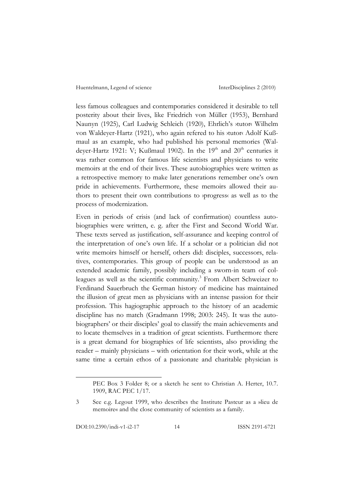less famous colleagues and contemporaries considered it desirable to tell posterity about their lives, like Friedrich von Müller (1953), Bernhard Naunyn (1925), Carl Ludwig Schleich (1920), Ehrlich's ›tutor‹ Wilhelm von Waldeyer-Hartz (1921), who again refered to his ›tutor‹ Adolf Kußmaul as an example, who had published his personal memories (Waldeyer-Hartz 1921: V; Kußmaul 1902). In the 19<sup>th</sup> and 20<sup>th</sup> centuries it was rather common for famous life scientists and physicians to write memoirs at the end of their lives. These autobiographies were written as a retrospective memory to make later generations remember one's own pride in achievements. Furthermore, these memoirs allowed their authors to present their own contributions to ›progress‹ as well as to the process of modernization.

Even in periods of crisis (and lack of confirmation) countless autobiographies were written, e. g. after the First and Second World War. These texts served as justification, self-assurance and keeping control of the interpretation of one's own life. If a scholar or a politician did not write memoirs himself or herself, others did: disciples, successors, relatives, contemporaries. This group of people can be understood as an extended academic family, possibly including a sworn-in team of colleagues as well as the scientific community.<sup>3</sup> From Albert Schweizer to Ferdinand Sauerbruch the German history of medicine has maintained the illusion of great men as physicians with an intense passion for their profession. This hagiographic approach to the history of an academic discipline has no match (Gradmann 1998; 2003: 245). It was the autobiographers' or their disciples' goal to classify the main achievements and to locate themselves in a tradition of great scientists. Furthermore there is a great demand for biographies of life scientists, also providing the reader – mainly physicians – with orientation for their work, while at the same time a certain ethos of a passionate and charitable physician is

PEC Box 3 Folder 8; or a sketch he sent to Christian A. Herter, 10.7. 1909, RAC PEC 1/17.

<sup>3</sup> See e.g. Legout 1999, who describes the Institute Pasteur as a »lieu de memoire« and the close community of scientists as a family.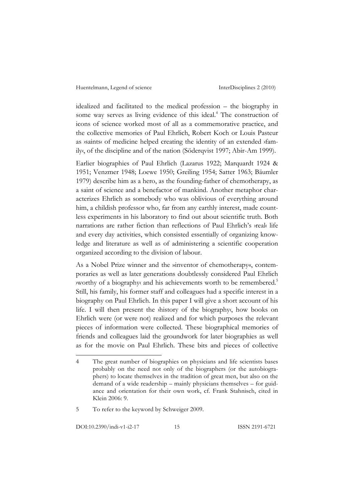idealized and facilitated to the medical profession – the biography in some way serves as living evidence of this ideal.<sup>4</sup> The construction of icons of science worked most of all as a commemorative practice, and the collective memories of Paul Ehrlich, Robert Koch or Louis Pasteur as ›saints‹ of medicine helped creating the identity of an extended ›family‹, of the discipline and of the nation (Söderqvist 1997; Abir-Am 1999).

Earlier biographies of Paul Ehrlich (Lazarus 1922; Marquardt 1924 & 1951; Venzmer 1948; Loewe 1950; Greiling 1954; Satter 1963; Bäumler 1979) describe him as a hero, as the founding-father of chemotherapy, as a saint of science and a benefactor of mankind. Another metaphor characterizes Ehrlich as somebody who was oblivious of everything around him, a childish professor who, far from any earthly interest, made countless experiments in his laboratory to find out about scientific truth. Both narrations are rather fiction than reflections of Paul Ehrlich's yreak life and every day activities, which consisted essentially of organizing knowledge and literature as well as of administering a scientific cooperation organized according to the division of labour.

As a Nobel Prize winner and the »inventor of chemotherapy«, contemporaries as well as later generations doubtlessly considered Paul Ehrlich ›worthy of a biography‹ and his achievements worth to be remembered.5 Still, his family, his former staff and colleagues had a specific interest in a biography on Paul Ehrlich. In this paper I will give a short account of his life. I will then present the ›history of the biography‹, how books on Ehrlich were (or were not) realized and for which purposes the relevant pieces of information were collected. These biographical memories of friends and colleagues laid the groundwork for later biographies as well as for the movie on Paul Ehrlich. These bits and pieces of collective

DOI:10.2390/indi-v1-i2-17 15 ISSN 2191-6721

<sup>4</sup> The great number of biographies on physicians and life scientists bases probably on the need not only of the biographers (or the autobiographers) to locate themselves in the tradition of great men, but also on the demand of a wide readership – mainly physicians themselves – for guidance and orientation for their own work, cf. Frank Stahnisch, cited in Klein 2006: 9.

<sup>5</sup> To refer to the keyword by Schweiger 2009.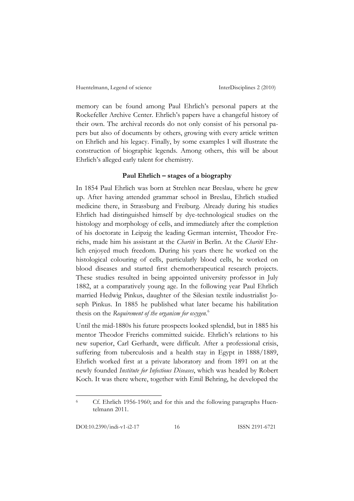memory can be found among Paul Ehrlich's personal papers at the Rockefeller Archive Center. Ehrlich's papers have a changeful history of their own. The archival records do not only consist of his personal papers but also of documents by others, growing with every article written on Ehrlich and his legacy. Finally, by some examples I will illustrate the construction of biographic legends. Among others, this will be about Ehrlich's alleged early talent for chemistry.

#### **Paul Ehrlich – stages of a biography**

In 1854 Paul Ehrlich was born at Strehlen near Breslau, where he grew up. After having attended grammar school in Breslau, Ehrlich studied medicine there, in Strassburg and Freiburg. Already during his studies Ehrlich had distinguished himself by dye-technological studies on the histology and morphology of cells, and immediately after the completion of his doctorate in Leipzig the leading German internist, Theodor Frerichs, made him his assistant at the *Charité* in Berlin. At the *Charité* Ehrlich enjoyed much freedom. During his years there he worked on the histological colouring of cells, particularly blood cells, he worked on blood diseases and started first chemotherapeutical research projects. These studies resulted in being appointed university professor in July 1882, at a comparatively young age. In the following year Paul Ehrlich married Hedwig Pinkus, daughter of the Silesian textile industrialist Joseph Pinkus. In 1885 he published what later became his habilitation thesis on the *Requirement of the organism for oxygen.* 6

Until the mid-1880s his future prospects looked splendid, but in 1885 his mentor Theodor Frerichs committed suicide. Ehrlich's relations to his new superior, Carl Gerhardt, were difficult. After a professional crisis, suffering from tuberculosis and a health stay in Egypt in 1888/1889, Ehrlich worked first at a private laboratory and from 1891 on at the newly founded *Institute for Infectious Diseases*, which was headed by Robert Koch. It was there where, together with Emil Behring, he developed the

<sup>6</sup> Cf. Ehrlich 1956-1960; and for this and the following paragraphs Huentelmann 2011.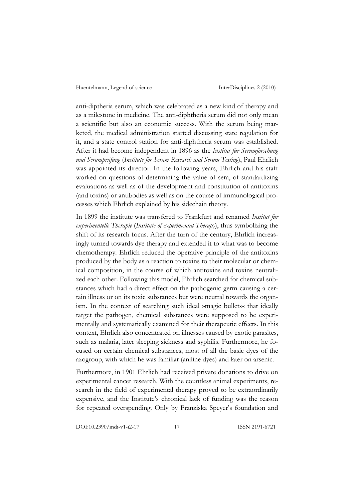anti-diptheria serum, which was celebrated as a new kind of therapy and as a milestone in medicine. The anti-diphtheria serum did not only mean a scientific but also an economic success. With the serum being marketed, the medical administration started discussing state regulation for it, and a state control station for anti-diphtheria serum was established. After it had become independent in 1896 as the *Institut für Serumforschung und Serumprüfung* (*Institute for Serum Research and Serum Testing*), Paul Ehrlich was appointed its director. In the following years, Ehrlich and his staff worked on questions of determining the value of sera, of standardizing evaluations as well as of the development and constitution of antitoxins (and toxins) or antibodies as well as on the course of immunological processes which Ehrlich explained by his sidechain theory.

In 1899 the institute was transfered to Frankfurt and renamed *Institut für experimentelle Therapie* (*Institute of experimental Therapy*), thus symbolizing the shift of its research focus. After the turn of the century, Ehrlich increasingly turned towards dye therapy and extended it to what was to become chemotherapy. Ehrlich reduced the operative principle of the antitoxins produced by the body as a reaction to toxins to their molecular or chemical composition, in the course of which antitoxins and toxins neutralized each other. Following this model, Ehrlich searched for chemical substances which had a direct effect on the pathogenic germ causing a certain illness or on its toxic substances but were neutral towards the organism. In the context of searching such ideal »magic bullets« that ideally target the pathogen, chemical substances were supposed to be experimentally and systematically examined for their therapeutic effects. In this context, Ehrlich also concentrated on illnesses caused by exotic parasites, such as malaria, later sleeping sickness and syphilis. Furthermore, he focused on certain chemical substances, most of all the basic dyes of the azogroup, with which he was familiar (aniline dyes) and later on arsenic.

Furthermore, in 1901 Ehrlich had received private donations to drive on experimental cancer research. With the countless animal experiments, research in the field of experimental therapy proved to be extraordinarily expensive, and the Institute's chronical lack of funding was the reason for repeated overspending. Only by Franziska Speyer's foundation and

DOI:10.2390/indi-v1-i2-17 17 ISSN 2191-6721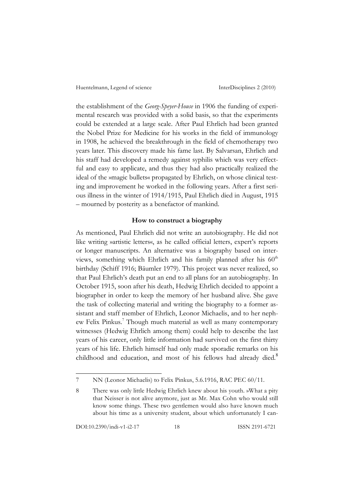the establishment of the *Georg-Speyer-House* in 1906 the funding of experimental research was provided with a solid basis, so that the experiments could be extended at a large scale. After Paul Ehrlich had been granted the Nobel Prize for Medicine for his works in the field of immunology in 1908, he achieved the breakthrough in the field of chemotherapy two years later. This discovery made his fame last. By Salvarsan, Ehrlich and his staff had developed a remedy against syphilis which was very effectful and easy to applicate, and thus they had also practically realized the ideal of the »magic bullets« propagated by Ehrlich, on whose clinical testing and improvement he worked in the following years. After a first serious illness in the winter of 1914/1915, Paul Ehrlich died in August, 1915 – mourned by posterity as a benefactor of mankind.

#### **How to construct a biography**

As mentioned, Paul Ehrlich did not write an autobiography. He did not like writing »artistic letters«, as he called official letters, expert's reports or longer manuscripts. An alternative was a biography based on interviews, something which Ehrlich and his family planned after his  $60<sup>th</sup>$ birthday (Schiff 1916; Bäumler 1979). This project was never realized, so that Paul Ehrlich's death put an end to all plans for an autobiography. In October 1915, soon after his death, Hedwig Ehrlich decided to appoint a biographer in order to keep the memory of her husband alive. She gave the task of collecting material and writing the biography to a former assistant and staff member of Ehrlich, Leonor Michaelis, and to her nephew Felix Pinkus.<sup>7</sup> Though much material as well as many contemporary witnesses (Hedwig Ehrlich among them) could help to describe the last years of his career, only little information had survived on the first thirty years of his life. Ehrlich himself had only made sporadic remarks on his childhood and education, and most of his fellows had already died.<sup>8</sup>

<sup>7</sup> NN (Leonor Michaelis) to Felix Pinkus, 5.6.1916, RAC PEC 60/11.

<sup>8</sup> There was only little Hedwig Ehrlich knew about his youth. »What a pity that Neisser is not alive anymore, just as Mr. Max Cohn who would still know some things. These two gentlemen would also have known much about his time as a university student, about which unfortunately I can-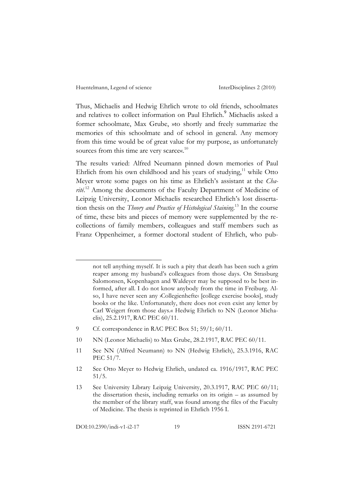Thus, Michaelis and Hedwig Ehrlich wrote to old friends, schoolmates and relatives to collect information on Paul Ehrlich.<sup>9</sup> Michaelis asked a former schoolmate, Max Grube, »to shortly and freely summarize the memories of this schoolmate and of school in general. Any memory from this time would be of great value for my purpose, as unfortunately sources from this time are very scarce«.<sup>10</sup>

The results varied: Alfred Neumann pinned down memories of Paul Ehrlich from his own childhood and his years of studying,<sup>11</sup> while Otto Meyer wrote some pages on his time as Ehrlich's assistant at the *Cha*rité.<sup>12</sup> Among the documents of the Faculty Department of Medicine of Leipzig University, Leonor Michaelis researched Ehrlich's lost dissertation thesis on the *Theory and Practice of Histological Staining*. 13 In the course of time, these bits and pieces of memory were supplemented by the recollections of family members, colleagues and staff members such as Franz Oppenheimer, a former doctoral student of Ehrlich, who pub-

DOI:10.2390/indi-v1-i2-17 19 ISSN 2191-6721

l

not tell anything myself. It is such a pity that death has been such a grim reaper among my husband's colleagues from those days. On Strasburg Salomonsen, Kopenhagen and Waldeyer may be supposed to be best informed, after all. I do not know anybody from the time in Freiburg. Also, I have never seen any *>Collegienhefte*< [college exercise books], study books or the like. Unfortunately, there does not even exist any letter by Carl Weigert from those days.« Hedwig Ehrlich to NN (Leonor Michaelis), 25.2.1917, RAC PEC 60/11.

<sup>9</sup> Cf. correspondence in RAC PEC Box 51; 59/1; 60/11.

<sup>10</sup> NN (Leonor Michaelis) to Max Grube, 28.2.1917, RAC PEC 60/11.

<sup>11</sup> See NN (Alfred Neumann) to NN (Hedwig Ehrlich), 25.3.1916, RAC PEC 51/7.

<sup>12</sup> See Otto Meyer to Hedwig Ehrlich, undated ca. 1916/1917, RAC PEC 51/5.

<sup>13</sup> See University Library Leipzig University, 20.3.1917, RAC PEC 60/11; the dissertation thesis, including remarks on its origin – as assumed by the member of the library staff, was found among the files of the Faculty of Medicine. The thesis is reprinted in Ehrlich 1956 I.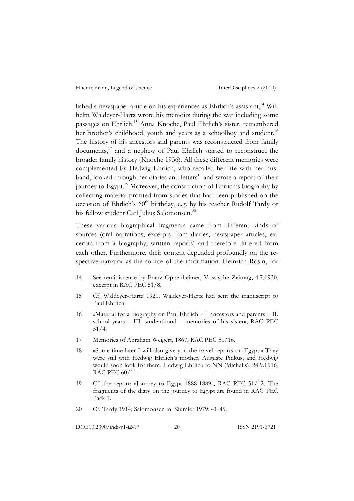lished a newspaper article on his experiences as Ehrlich's assistant,<sup>14</sup> Wilhelm Waldeyer-Hartz wrote his memoirs during the war including some passages on Ehrlich,<sup>15</sup> Anna Knoche, Paul Ehrlich's sister, remembered her brother's childhood, youth and years as a schoolboy and student.<sup>16</sup> The history of his ancestors and parents was reconstructed from family documents, <sup>17</sup> and a nephew of Paul Ehrlich started to reconstruct the broader family history (Knoche 1936). All these different memories were complemented by Hedwig Ehrlich, who recalled her life with her husband, looked through her diaries and letters<sup>18</sup> and wrote a report of their journey to Egypt.19 Moreover, the construction of Ehrlich's biography by collecting material profited from stories that had been published on the occasion of Ehrlich's 60<sup>th</sup> birthday, e.g. by his teacher Rudolf Tardy or his fellow student Carl Julius Salomonsen.<sup>20</sup>

These various biographical fragments came from different kinds of sources (oral narrations, excerpts from diaries, newspaper articles, excerpts from a biography, written reports) and therefore differed from each other. Furthermore, their content depended profoundly on the respective narrator as the source of the information. Heinrich Rosin, for

- 14 See reminiscence by Franz Oppenheimer, Vossische Zeitung, 4.7.1930, excerpt in RAC PEC 51/8.
- 15 Cf. Waldeyer-Hartz 1921. Waldeyer-Hartz had sent the manuscript to Paul Ehrlich.
- 16 »Material for a biography on Paul Ehrlich I. ancestors and parents II. school years – III. studenthood – memories of his sister«, RAC PEC 51/4.
- 17 Memories of Abraham Weigert, 1867, RAC PEC 51/16.
- 18 »Some time later I will also give you the travel reports on Egypt.« They were still with Hedwig Ehrlich's mother, Auguste Pinkus, and Hedwig would soon look for them, Hedwig Ehrlich to NN (Michalis), 24.9.1916, RAC PEC 60/11.
- 19 Cf. the report: »Journey to Egypt 1888-1889«, RAC PEC 51/12. The fragments of the diary on the journey to Egypt are found in RAC PEC Pack 1.
- 20 Cf. Tardy 1914; Salomonsen in Bäumler 1979: 41-45.

DOI:10.2390/indi-v1-i2-17 20 ISSN 2191-6721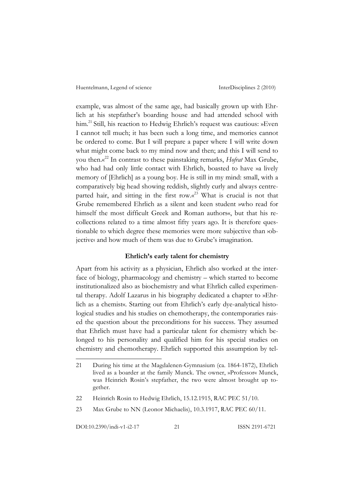example, was almost of the same age, had basically grown up with Ehrlich at his stepfather's boarding house and had attended school with him.<sup>21</sup> Still, his reaction to Hedwig Ehrlich's request was cautious: »Even I cannot tell much; it has been such a long time, and memories cannot be ordered to come. But I will prepare a paper where I will write down what might come back to my mind now and then; and this I will send to you then.« <sup>22</sup> In contrast to these painstaking remarks, *Hofrat* Max Grube, who had had only little contact with Ehrlich, boasted to have »a lively memory of [Ehrlich] as a young boy. He is still in my mind: small, with a comparatively big head showing reddish, slightly curly and always centreparted hair, and sitting in the first row.«<sup>23</sup> What is crucial is not that Grube remembered Ehrlich as a silent and keen student »who read for himself the most difficult Greek and Roman authors«, but that his recollections related to a time almost fifty years ago. It is therefore questionable to which degree these memories were more subjective than ›objective and how much of them was due to Grube's imagination.

#### **Ehrlich's early talent for chemistry**

Apart from his activity as a physician, Ehrlich also worked at the interface of biology, pharmacology and chemistry – which started to become institutionalized also as biochemistry and what Ehrlich called experimental therapy. Adolf Lazarus in his biography dedicated a chapter to »Ehrlich as a chemist«. Starting out from Ehrlich's early dye-analytical histological studies and his studies on chemotherapy, the contemporaries raised the question about the preconditions for his success. They assumed that Ehrlich must have had a particular talent for chemistry which belonged to his personality and qualified him for his special studies on chemistry and chemotherapy. Ehrlich supported this assumption by tel-

DOI:10.2390/indi-v1-i2-17 21 ISSN 2191-6721

<sup>21</sup> During his time at the Magdalenen-Gymnasium (ca. 1864-1872), Ehrlich lived as a boarder at the family Munck. The owner, »Professor« Munck, was Heinrich Rosin's stepfather, the two were almost brought up together.

<sup>22</sup> Heinrich Rosin to Hedwig Ehrlich, 15.12.1915, RAC PEC 51/10.

<sup>23</sup> Max Grube to NN (Leonor Michaelis), 10.3.1917, RAC PEC 60/11.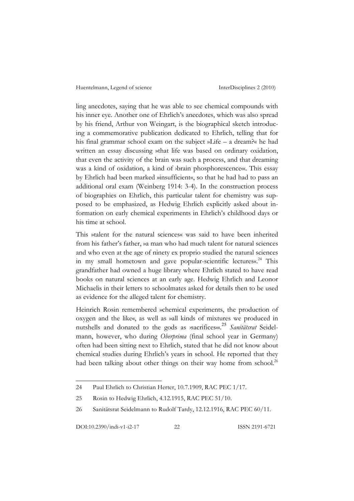ling anecdotes, saying that he was able to see chemical compounds with his inner eye. Another one of Ehrlich's anecdotes, which was also spread by his friend, Arthur von Weingart, is the biographical sketch introducing a commemorative publication dedicated to Ehrlich, telling that for his final grammar school exam on the subject »Life – a dream?« he had written an essay discussing »that life was based on ordinary oxidation, that even the activity of the brain was such a process, and that dreaming was a kind of oxidation, a kind of  $\beta$  brain phosphorescence. This essay by Ehrlich had been marked »insufficient«, so that he had had to pass an additional oral exam (Weinberg 1914: 3-4). In the construction process of biographies on Ehrlich, this particular talent for chemistry was supposed to be emphasized, as Hedwig Ehrlich explicitly asked about information on early chemical experiments in Ehrlich's childhood days or his time at school.

This »talent for the natural sciences« was said to have been inherited from his father's father, »a man who had much talent for natural sciences and who even at the age of ninety ex proprio studied the natural sciences in my small hometown and gave popular-scientific lectures«.<sup>24</sup> This grandfather had owned a huge library where Ehrlich stated to have read books on natural sciences at an early age. Hedwig Ehrlich and Leonor Michaelis in their letters to schoolmates asked for details then to be used as evidence for the alleged talent for chemistry.

Heinrich Rosin remembered »chemical experiments, the production of oxygen and the like«, as well as »all kinds of mixtures we produced in nutshells and donated to the gods as *ysacrifices«*.<sup>25</sup> *Sanitätsrat* Seidelmann, however, who during *Oberprima* (final school year in Germany) often had been sitting next to Ehrlich, stated that he did not know about chemical studies during Ehrlich's years in school. He reported that they had been talking about other things on their way home from school.<sup>26</sup>

<sup>24</sup> Paul Ehrlich to Christian Herter, 10.7.1909, RAC PEC 1/17.

<sup>25</sup> Rosin to Hedwig Ehrlich, 4.12.1915, RAC PEC 51/10.

<sup>26</sup> Sanitätsrat Seidelmann to Rudolf Tardy, 12.12.1916, RAC PEC 60/11.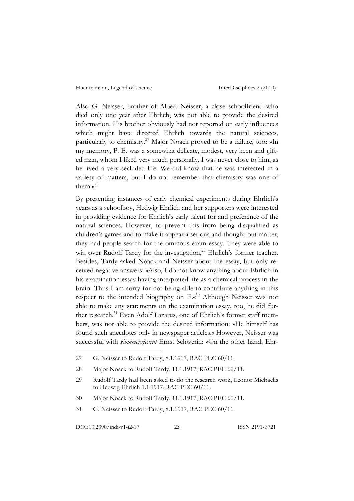Also G. Neisser, brother of Albert Neisser, a close schoolfriend who died only one year after Ehrlich, was not able to provide the desired information. His brother obviously had not reported on early influences which might have directed Ehrlich towards the natural sciences, particularly to chemistry.<sup>27</sup> Major Noack proved to be a failure, too: »In my memory, P. E. was a somewhat delicate, modest, very keen and gifted man, whom I liked very much personally. I was never close to him, as he lived a very secluded life. We did know that he was interested in a variety of matters, but I do not remember that chemistry was one of them.« 28

By presenting instances of early chemical experiments during Ehrlich's years as a schoolboy, Hedwig Ehrlich and her supporters were interested in providing evidence for Ehrlich's early talent for and preference of the natural sciences. However, to prevent this from being disqualified as children's games and to make it appear a serious and thought-out matter, they had people search for the ominous exam essay. They were able to win over Rudolf Tardy for the investigation,<sup>29</sup> Ehrlich's former teacher. Besides, Tardy asked Noack and Neisser about the essay, but only received negative answers: »Also, I do not know anything about Ehrlich in his examination essay having interpreted life as a chemical process in the brain. Thus I am sorry for not being able to contribute anything in this respect to the intended biography on  $E.\vec{s}^3$  Although Neisser was not able to make any statements on the examination essay, too, he did further research.<sup>31</sup> Even Adolf Lazarus, one of Ehrlich's former staff members, was not able to provide the desired information: »He himself has found such anecdotes only in newspaper articles.« However, Neisser was successful with *Kommerzienrat* Ernst Schwerin: »On the other hand, Ehr-

- 30 Major Noack to Rudolf Tardy, 11.1.1917, RAC PEC 60/11.
- 31 G. Neisser to Rudolf Tardy, 8.1.1917, RAC PEC 60/11.

DOI:10.2390/indi-v1-i2-17 23 ISSN 2191-6721

<sup>27</sup> G. Neisser to Rudolf Tardy, 8.1.1917, RAC PEC 60/11.

<sup>28</sup> Major Noack to Rudolf Tardy, 11.1.1917, RAC PEC 60/11.

<sup>29</sup> Rudolf Tardy had been asked to do the research work, Leonor Michaelis to Hedwig Ehrlich 1.1.1917, RAC PEC 60/11.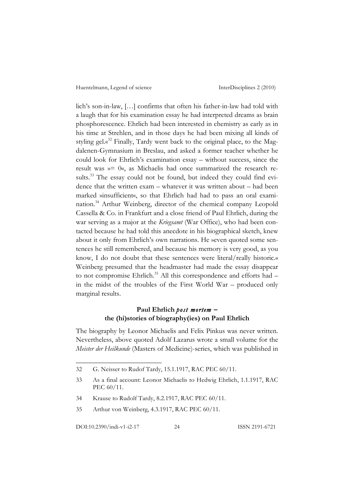lich's son-in-law, […] confirms that often his father-in-law had told with a laugh that for his examination essay he had interpreted dreams as brain phosphorescence. Ehrlich had been interested in chemistry as early as in his time at Strehlen, and in those days he had been mixing all kinds of styling gel.«<sup>32</sup> Finally, Tardy went back to the original place, to the Magdalenen-Gymnasium in Breslau, and asked a former teacher whether he could look for Ehrlich's examination essay – without success, since the result was »= 0«, as Michaelis had once summarized the research results.<sup>33</sup> The essay could not be found, but indeed they could find evidence that the written exam – whatever it was written about – had been marked »insufficient«, so that Ehrlich had had to pass an oral examination.34 Arthur Weinberg, director of the chemical company Leopold Cassella & Co. in Frankfurt and a close friend of Paul Ehrlich, during the war serving as a major at the *Kriegsamt* (War Office), who had been contacted because he had told this anecdote in his biographical sketch, knew about it only from Ehrlich's own narrations. He »even quoted some sentences he still remembered, and because his memory is very good, as you know, I do not doubt that these sentences were literal/really historic.« Weinberg presumed that the headmaster had made the essay disappear to not compromise Ehrlich.<sup>35</sup> All this correspondence and efforts had – in the midst of the troubles of the First World War – produced only marginal results.

## **Paul Ehrlich** *post mortem* **– the (hi)stories of biography(ies) on Paul Ehrlich**

The biography by Leonor Michaelis and Felix Pinkus was never written. Nevertheless, above quoted Adolf Lazarus wrote a small volume for the *Meister der Heilkunde* (Masters of Medicine)-series, which was published in

<sup>32</sup> G. Neisser to Rudof Tardy, 15.1.1917, RAC PEC 60/11.

<sup>33</sup> As a final account: Leonor Michaelis to Hedwig Ehrlich, 1.1.1917, RAC PEC 60/11.

<sup>34</sup> Krause to Rudolf Tardy, 8.2.1917, RAC PEC 60/11.

<sup>35</sup> Arthur von Weinberg, 4.3.1917, RAC PEC 60/11.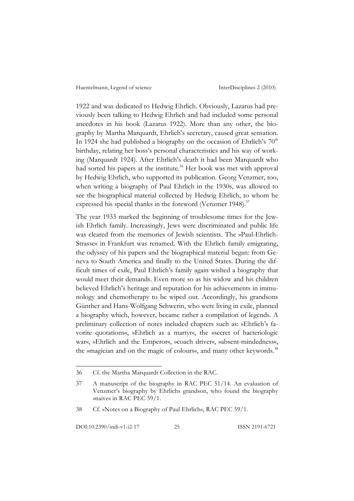1922 and was dedicated to Hedwig Ehrlich. Obviously, Lazarus had previously been talking to Hedwig Ehrlich and had included some personal anecdotes in his book (Lazarus 1922). More than any other, the biography by Martha Marquardt, Ehrlich's secretary, caused great sensation. In 1924 she had published a biography on the occasion of Ehrlich's 70<sup>th</sup> birthday, relating her boss's personal characteristics and his way of working (Marquardt 1924). After Ehrlich's death it had been Marquardt who had sorted his papers at the institute.<sup>36</sup> Her book was met with approval by Hedwig Ehrlich, who supported its publication. Georg Venzmer, too, when writing a biography of Paul Ehrlich in the 1930s, was allowed to see the biographical material collected by Hedwig Ehrlich, to whom he expressed his special thanks in the foreword (Venzmer 1948).<sup>37</sup>

The year 1933 marked the beginning of troublesome times for the Jewish Ehrlich family. Increasingly, Jews were discriminated and public life was cleared from the memories of Jewish scientists. The »Paul-Ehrlich-Strasse« in Frankfurt was renamed. With the Ehrlich family emigrating, the odyssey of his papers and the biographical material began: from Geneva to South America and finally to the United States. During the difficult times of exile, Paul Ehrlich's family again wished a biography that would meet their demands. Even more so as his widow and his children believed Ehrlich's heritage and reputation for his achievements in immunology and chemotherapy to be wiped out. Accordingly, his grandsons Günther and Hans-Wolfgang Schwerin, who were living in exile, planned a biography which, however, became rather a compilation of legends. A preliminary collection of notes included chapters such as: »Ehrlich's favorite quotations«, »Ehrlich as a martyr«, the »secret of bacteriologic war«, »Ehrlich and the Emperor«, »coach driver«, »absent-mindedness«, the »magician and on the magic of colours«, and many other keywords.<sup>38</sup>

DOI:10.2390/indi-v1-i2-17 25 ISSN 2191-6721

<sup>36</sup> Cf. the Martha Marquardt Collection in the RAC.

<sup>37</sup> A manuscript of the biography in RAC PEC 51/14. An evaluation of Venzmer's biography by Ehrlichs grandson, who found the biography »naive« in RAC PEC 59/1.

<sup>38</sup> Cf. »Notes on a Biography of Paul Ehrlich«, RAC PEC 59/1.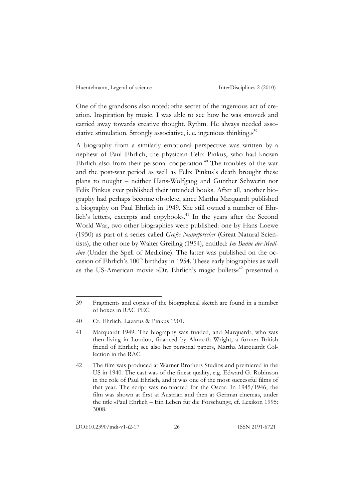One of the grandsons also noted: »the secret of the ingenious act of creation. Inspiration by music. I was able to see how he was ›moved‹ and carried away towards creative thought. Rythm. He always needed associative stimulation. Strongly associative, i. e. ingenious thinking.« 39

A biography from a similarly emotional perspective was written by a nephew of Paul Ehrlich, the physician Felix Pinkus, who had known Ehrlich also from their personal cooperation.<sup>40</sup> The troubles of the war and the post-war period as well as Felix Pinkus's death brought these plans to nought – neither Hans-Wolfgang and Günther Schwerin nor Felix Pinkus ever published their intended books. After all, another biography had perhaps become obsolete, since Martha Marquardt published a biography on Paul Ehrlich in 1949. She still owned a number of Ehrlich's letters, excerpts and copybooks. <sup>41</sup> In the years after the Second World War, two other biographies were published: one by Hans Loewe (1950) as part of a series called *Große Naturforscher* (Great Natural Scientists), the other one by Walter Greiling (1954), entitled: *Im Banne der Medicine* (Under the Spell of Medicine). The latter was published on the occasion of Ehrlich's 100<sup>th</sup> birthday in 1954. These early biographies as well as the US-American movie »Dr. Ehrlich's magic bullets«<sup>42</sup> presented a

<sup>39</sup> Fragments and copies of the biographical sketch are found in a number of boxes in RAC PEC.

<sup>40</sup> Cf. Ehrlich, Lazarus & Pinkus 1901.

<sup>41</sup> Marquardt 1949. The biography was funded, and Marquardt, who was then living in London, financed by Almroth Wright, a former British friend of Ehrlich; see also her personal papers, Martha Marquardt Collection in the RAC.

<sup>42</sup> The film was produced at Warner Brothers Studios and premiered in the US in 1940. The cast was of the finest quality, e.g. Edward G. Robinson in the role of Paul Ehrlich, and it was one of the most successful films of that year. The script was nominated for the Oscar. In 1945/1946, the film was shown at first at Austrian and then at German cinemas, under the title »Paul Ehrlich – Ein Leben für die Forschung«, cf. Lexikon 1995: 3008.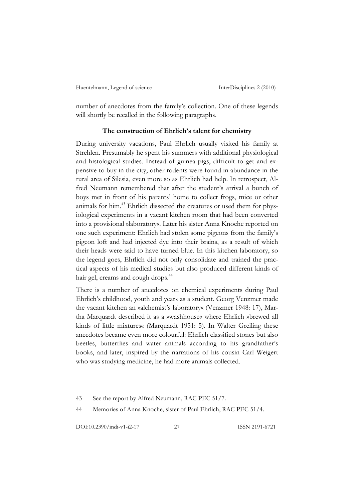number of anecdotes from the family's collection. One of these legends will shortly be recalled in the following paragraphs.

#### **The construction of Ehrlich's talent for chemistry**

During university vacations, Paul Ehrlich usually visited his family at Strehlen. Presumably he spent his summers with additional physiological and histological studies. Instead of guinea pigs, difficult to get and expensive to buy in the city, other rodents were found in abundance in the rural area of Silesia, even more so as Ehrlich had help. In retrospect, Alfred Neumann remembered that after the student's arrival a bunch of boys met in front of his parents' home to collect frogs, mice or other animals for him.43 Ehrlich dissected the creatures or used them for physiological experiments in a vacant kitchen room that had been converted into a provisional »laboratory«. Later his sister Anna Knoche reported on one such experiment: Ehrlich had stolen some pigeons from the family's pigeon loft and had injected dye into their brains, as a result of which their heads were said to have turned blue. In this kitchen laboratory, so the legend goes, Ehrlich did not only consolidate and trained the practical aspects of his medical studies but also produced different kinds of hair gel, creams and cough drops.<sup>44</sup>

There is a number of anecdotes on chemical experiments during Paul Ehrlich's childhood, youth and years as a student. Georg Venzmer made the vacant kitchen an »alchemist's laboratory« (Venzmer 1948: 17), Martha Marquardt described it as a »washhouse« where Ehrlich »brewed all kinds of little mixtures« (Marquardt 1951: 5). In Walter Greiling these anecdotes became even more colourful: Ehrlich classified stones but also beetles, butterflies and water animals according to his grandfather's books, and later, inspired by the narrations of his cousin Carl Weigert who was studying medicine, he had more animals collected.

<sup>43</sup> See the report by Alfred Neumann, RAC PEC 51/7.

<sup>44</sup> Memories of Anna Knoche, sister of Paul Ehrlich, RAC PEC 51/4.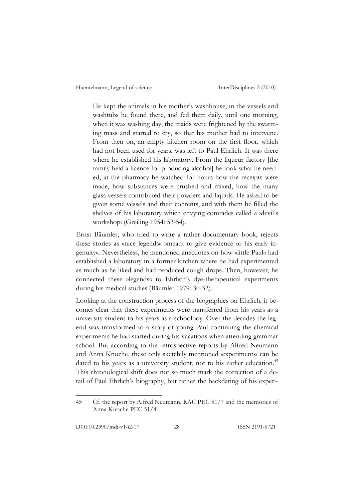He kept the animals in his mother's washhouse, in the vessels and washtubs he found there, and fed them daily, until one morning, when it was washing day, the maids were frightened by the swarming mass and started to cry, so that his mother had to intervene. From then on, an empty kitchen room on the first floor, which had not been used for years, was left to Paul Ehrlich. It was there where he established his laboratory. From the liqueur factory [the family held a licence for producing alcohol] he took what he needed, at the pharmacy he watched for hours how the receipts were made, how substances were crushed and mixed, how the many glass vessels contributed their powders and liquids. He asked to be given some vessels and their contents, and with them he filled the shelves of his laboratory which envying comrades called a ›devil's workshop‹ (Greiling 1954: 53-54).

Ernst Bäumler, who tried to write a rather documentary book, rejects these stories as »nice legends« »meant to give evidence to his early ingenuity«. Nevertheless, he mentioned anecdotes on how »little Paul« had established a laboratory in a former kitchen where he had experimented as much as he liked and had produced cough drops. Then, however, he connected these »legends« to Ehrlich's dye-therapeutical experiments during his medical studies (Bäumler 1979: 30-32).

Looking at the construction process of the biographies on Ehrlich, it becomes clear that these experiments were transferred from his years as a university student to his years as a schoolboy. Over the decades the legend was transformed to a story of young Paul continuing the chemical experiments he had started during his vacations when attending grammar school. But according to the retrospective reports by Alfred Neumann and Anna Knoche, these only sketchily mentioned vexperiments‹ can be dated to his years as a university student, not to his earlier education.<sup>45</sup> This chronological shift does not so much mark the correction of a detail of Paul Ehrlich's biography, but rather the backdating of his experi-

<sup>45</sup> Cf. the report by Alfred Neumann, RAC PEC 51/7 and the memories of Anna Knoche PEC 51/4.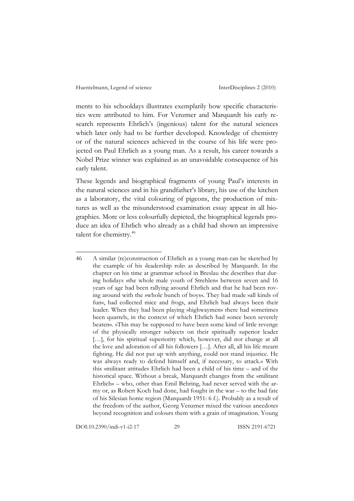ments to his schooldays illustrates exemplarily how specific characteristics were attributed to him. For Venzmer and Marquardt his early research represents Ehrlich's (ingenious) talent for the natural sciences which later only had to be further developed. Knowledge of chemistry or of the natural sciences achieved in the course of his life were projected on Paul Ehrlich as a young man. As a result, his career towards a Nobel Prize winner was explained as an unavoidable consequence of his early talent.

These legends and biographical fragments of young Paul's interests in the natural sciences and in his grandfather's library, his use of the kitchen as a laboratory, the vital colouring of pigeons, the production of mixtures as well as the misunderstood examination essay appear in all biographies. More or less colourfully depicted, the biographical legends produce an idea of Ehrlich who already as a child had shown an impressive talent for chemistry.<sup>46</sup>

DOI:10.2390/indi-v1-i2-17 29 ISSN 2191-6721

<sup>46</sup> A similar (re)construction of Ehrlich as a young man can be sketched by the example of his ›leadership role‹ as described by Marquardt. In the chapter on his time at grammar school in Breslau she describes that during holidays »the whole male youth of Strehlen« between seven and 16 years of age had been rallying around Ehrlich and that he had been roving around with the »whole bunch of boys«. They had made »all kinds of fun«, had collected mice and frogs, and Ehrlich had always been their leader. When they had been playing »highwaymen« there had sometimes been quarrels, in the context of which Ehrlich had »once been severely beaten«. »This may be supposed to have been some kind of little revenge of the physically stronger subjects on their spiritually superior leader [...], for his spiritual superiority which, however, did not change at all the love and adoration of all his followers […]. After all, all his life meant fighting. He did not put up with anything, could not stand injustice. He was always ready to defend himself and, if necessary, to attack.« With this »militant attitude« Ehrlich had been a child of his time – and of the historical space. Without a break, Marquardt changes from the »militant Ehrlich« – who, other than Emil Behring, had never served with the army or, as Robert Koch had done, had fought in the war – to the bad fate of his Silesian home region (Marquardt 1951: 6 f.). Probably as a result of the freedom of the author, Georg Venzmer mixed the various anecdotes beyond recognition and colours them with a grain of imagination. Young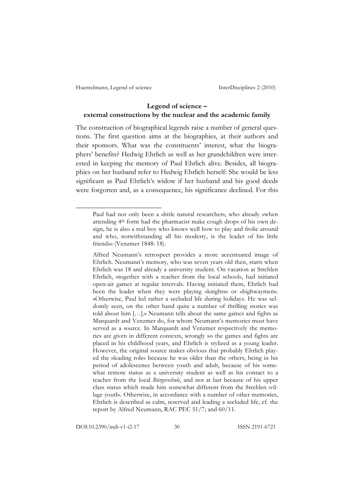### **Legend of science – external constructions by the nuclear and the academic family**

The construction of biographical legends raise a number of general questions. The first question aims at the biographies, at their authors and their sponsors. What was the constituents' interest, what the biographers' benefits? Hedwig Ehrlich as well as her grandchildren were interested in keeping the memory of Paul Ehrlich alive. Besides, all biographies on her husband refer to Hedwig Ehrlich herself: She would be less significant as Paul Ehrlich's widow if her husband and his good deeds were forgotten and, as a consequence, his significance declined. For this

Paul had not only been a »little natural researcher«, who already »when attending 4th form had the pharmacist make cough drops of his own design, he is also a real boy who knows well how to play and frolic around and who, notwithstanding all his modesty, is the leader of his little friends« (Venzmer 1848: 18).

Alfred Neumann's retrospect provides a more accentuated image of Ehrlich. Neumann's memory, who was seven years old then, starts when Ehrlich was 18 and already a university student. On vacation at Strehlen Ehrlich, »together with a teacher from the local school«, had initiated open-air games at regular intervals. Having initiated them, Ehrlich had been the leader when they were playing »knights« or »highwaymen«. »Otherwise, Paul led rather a secluded life during holidays. He was seldomly seen, on the other hand quite a number of thrilling stories was told about him […].« Neumann tells about the same games and fights as Marquardt and Venzmer do, for whom Neumann's memories must have served as a source. In Marquardt and Venzmer respectively the memories are given in different contexts, wrongly so the games and fights are placed in his childhood years, and Ehrlich is stylized as a young leader. However, the original source makes obvious that probably Ehrlich played the »leading role« because he was older than the others, being in his period of adolescence between youth and adult, because of his somewhat remote status as a university student as well as his contact to a teacher from the local *Bürgerschule*, and not at last because of his upper class status which made him somewhat different from the Strehlen ›village youth. Otherwise, in accordance with a number of other memories, Ehrlich is described as calm, reserved and leading a secluded life, cf. the report by Alfred Neumann, RAC PEC 51/7; and 60/11.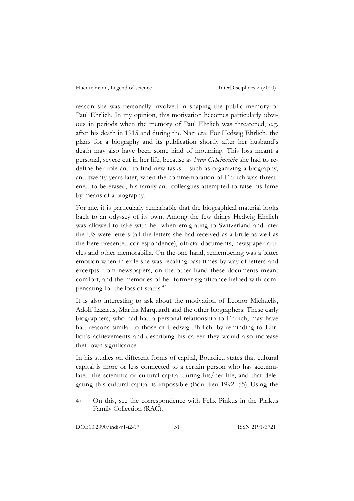reason she was personally involved in shaping the public memory of Paul Ehrlich. In my opinion, this motivation becomes particularly obvious in periods when the memory of Paul Ehrlich was threatened, e.g. after his death in 1915 and during the Nazi era. For Hedwig Ehrlich, the plans for a biography and its publication shortly after her husband's death may also have been some kind of mourning. This loss meant a personal, severe cut in her life, because as *Frau Geheimrätin* she had to redefine her role and to find new tasks – such as organizing a biography, and twenty years later, when the commemoration of Ehrlich was threatened to be erased, his family and colleagues attempted to raise his fame by means of a biography.

For me, it is particularly remarkable that the biographical material looks back to an odyssey of its own. Among the few things Hedwig Ehrlich was allowed to take with her when emigrating to Switzerland and later the US were letters (all the letters she had received as a bride as well as the here presented correspondence), official documents, newspaper articles and other memorabilia. On the one hand, remembering was a bitter emotion when in exile she was recalling past times by way of letters and excerpts from newspapers, on the other hand these documents meant comfort, and the memories of her former significance helped with compensating for the loss of status.47

It is also interesting to ask about the motivation of Leonor Michaelis, Adolf Lazarus, Martha Marquardt and the other biographers. These early biographers, who had had a personal relationship to Ehrlich, may have had reasons similar to those of Hedwig Ehrlich: by reminding to Ehrlich's achievements and describing his career they would also increase their own significance.

In his studies on different forms of capital, Bourdieu states that cultural capital is more or less connected to a certain person who has accumulated the scientific or cultural capital during his/her life, and that delegating this cultural capital is impossible (Bourdieu 1992: 55). Using the

<sup>47</sup> On this, see the correspondence with Felix Pinkus in the Pinkus Family Collection (RAC).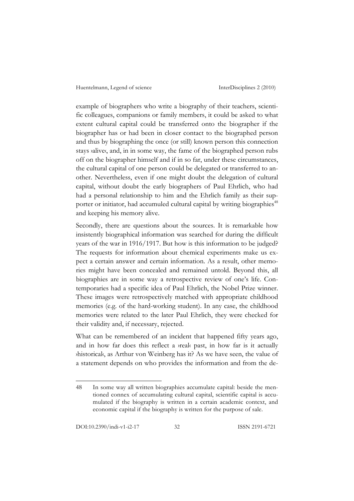example of biographers who write a biography of their teachers, scientific colleagues, companions or family members, it could be asked to what extent cultural capital could be transferred onto the biographer if the biographer has or had been in closer contact to the biographed person and thus by biographing the once (or still) known person this connection stays valives, and, in in some way, the fame of the biographed person rubs off on the biographer himself and if in so far, under these circumstances, the cultural capital of one person could be delegated or transferred to another. Nevertheless, even if one might doubt the delegation of cultural capital, without doubt the early biographers of Paul Ehrlich, who had had a personal relationship to him and the Ehrlich family as their supporter or initiator, had accumuled cultural capital by writing biographies<sup>48</sup> and keeping his memory alive.

Secondly, there are questions about the sources. It is remarkable how insistently biographical information was searched for during the difficult years of the war in 1916/1917. But how is this information to be judged? The requests for information about chemical experiments make us expect a certain answer and certain information. As a result, other memories might have been concealed and remained untold. Beyond this, all biographies are in some way a retrospective review of one's life. Contemporaries had a specific idea of Paul Ehrlich, the Nobel Prize winner. These images were retrospectively matched with appropriate childhood memories (e.g. of the hard-working student). In any case, the childhood memories were related to the later Paul Ehrlich, they were checked for their validity and, if necessary, rejected.

What can be remembered of an incident that happened fifty years ago, and in how far does this reflect a *yreak* past, in how far is it actually ›historical‹, as Arthur von Weinberg has it? As we have seen, the value of a statement depends on who provides the information and from the de-

<sup>48</sup> In some way all written biographies accumulate capital: beside the mentioned connex of accumulating cultural capital, scientific capital is accumulated if the biography is written in a certain academic context, and economic capital if the biography is written for the purpose of sale.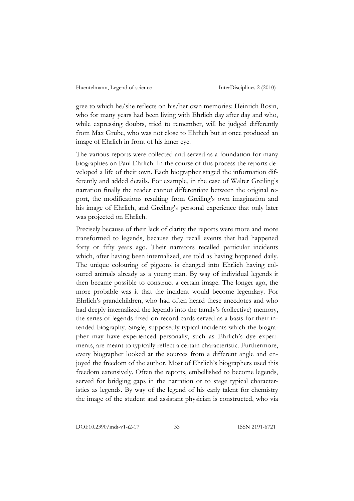gree to which he/she reflects on his/her own memories: Heinrich Rosin, who for many years had been living with Ehrlich day after day and who, while expressing doubts, tried to remember, will be judged differently from Max Grube, who was not close to Ehrlich but at once produced an image of Ehrlich in front of his inner eye.

The various reports were collected and served as a foundation for many biographies on Paul Ehrlich. In the course of this process the reports developed a life of their own. Each biographer staged the information differently and added details. For example, in the case of Walter Greiling's narration finally the reader cannot differentiate between the original report, the modifications resulting from Greiling's own imagination and his image of Ehrlich, and Greiling's personal experience that only later was projected on Ehrlich.

Precisely because of their lack of clarity the reports were more and more transformed to legends, because they recall events that had happened forty or fifty years ago. Their narrators recalled particular incidents which, after having been internalized, are told as having happened daily. The unique colouring of pigeons is changed into Ehrlich having coloured animals already as a young man. By way of individual legends it then became possible to construct a certain image. The longer ago, the more probable was it that the incident would become legendary. For Ehrlich's grandchildren, who had often heard these anecdotes and who had deeply internalized the legends into the family's (collective) memory, the series of legends fixed on record cards served as a basis for their intended biography. Single, supposedly typical incidents which the biographer may have experienced personally, such as Ehrlich's dye experiments, are meant to typically reflect a certain characteristic. Furthermore, every biographer looked at the sources from a different angle and enjoyed the freedom of the author. Most of Ehrlich's biographers used this freedom extensively. Often the reports, embellished to become legends, served for bridging gaps in the narration or to stage typical characteristics as legends. By way of the legend of his early talent for chemistry the image of the student and assistant physician is constructed, who via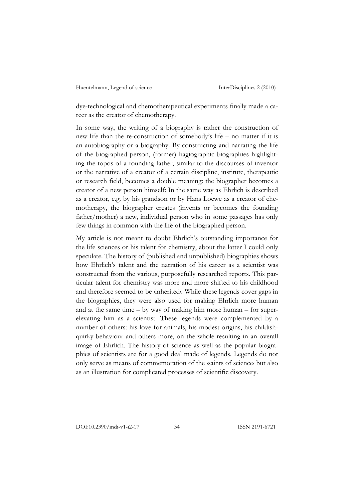dye-technological and chemotherapeutical experiments finally made a career as the creator of chemotherapy.

In some way, the writing of a biography is rather the construction of new life than the re-construction of somebody's life – no matter if it is an autobiography or a biography. By constructing and narrating the life of the biographed person, (former) hagiographic biographies highlighting the topos of a founding father, similar to the discourses of inventor or the narrative of a creator of a certain discipline, institute, therapeutic or research field, becomes a double meaning: the biographer becomes a creator of a new person himself: In the same way as Ehrlich is described as a creator, e.g. by his grandson or by Hans Loewe as a creator of chemotherapy, the biographer creates (invents or becomes the founding father/mother) a new, individual person who in some passages has only few things in common with the life of the biographed person.

My article is not meant to doubt Ehrlich's outstanding importance for the life sciences or his talent for chemistry, about the latter I could only speculate. The history of (published and unpublished) biographies shows how Ehrlich's talent and the narration of his career as a scientist was constructed from the various, purposefully researched reports. This particular talent for chemistry was more and more shifted to his childhood and therefore seemed to be *inherited*. While these legends cover gaps in the biographies, they were also used for making Ehrlich more human and at the same time – by way of making him more human – for superelevating him as a scientist. These legends were complemented by a number of others: his love for animals, his modest origins, his childishquirky behaviour and others more, on the whole resulting in an overall image of Ehrlich. The history of science as well as the popular biographies of scientists are for a good deal made of legends. Legends do not only serve as means of commemoration of the ›saints of science‹ but also as an illustration for complicated processes of scientific discovery.

DOI:10.2390/indi-v1-i2-17 34 ISSN 2191-6721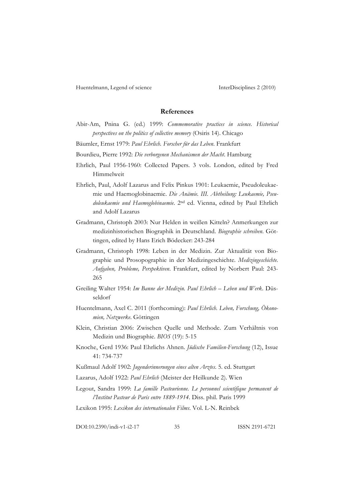#### **References**

Abir-Am, Pnina G. (ed.) 1999: *Commemorative practices in science. Historical perspectives on the politics of collective memory* (Osiris 14). Chicago

- Bäumler, Ernst 1979: *Paul Ehrlich. Forscher für das Leben*. Frankfurt
- Bourdieu, Pierre 1992: *Die verborgenen Mechanismen der Macht*. Hamburg
- Ehrlich, Paul 1956-1960: Collected Papers. 3 vols. London, edited by Fred Himmelweit

Ehrlich, Paul, Adolf Lazarus and Felix Pinkus 1901: Leukaemie, Pseudoleukaemie und Haemoglobinaemie. *Die Anämie. III. Abtheilung: Leukaemie, Pseudoleukaemie und Haemoglobinaemie*. 2nd ed. Vienna, edited by Paul Ehrlich and Adolf Lazarus

- Gradmann, Christoph 2003: Nur Helden in weißen Kitteln? Anmerkungen zur medizinhistorischen Biographik in Deutschland. *Biographie schreiben*. Göttingen, edited by Hans Erich Bödecker: 243-284
- Gradmann, Christoph 1998: Leben in der Medizin. Zur Aktualität von Biographie und Prosopographie in der Medizingeschichte. *Medizingeschichte. Aufgaben, Probleme, Perspektiven*. Frankfurt, edited by Norbert Paul: 243- 265
- Greiling Walter 1954: *Im Banne der Medizin. Paul Ehrlich Leben und Werk*. Düsseldorf
- Huentelmann, Axel C. 2011 (forthcoming): *Paul Ehrlich. Leben, Forschung, Ökonomien, Netzwerke*. Göttingen
- Klein, Christian 2006: Zwischen Quelle und Methode. Zum Verhältnis von Medizin und Biographie. *BIOS* (19): 5-15
- Knoche, Gerd 1936: Paul Ehrlichs Ahnen. *Jüdische Familien-Forschung* (12), Issue 41: 734-737
- Kußmaul Adolf 1902: *Jugenderinnerungen eines alten Arztes*. 5. ed. Stuttgart
- Lazarus, Adolf 1922: *Paul Ehrlich* (Meister der Heilkunde 2). Wien
- Legout, Sandra 1999: *La famille Pasteurienne. Le personnel scientifique permanent de l'Institut Pasteur de Paris entre 1889-1914*. Diss. phil. Paris 1999

Lexikon 1995: *Lexikon des internationalen Films*. Vol. L-N. Reinbek

DOI:10.2390/indi-v1-i2-17 35 ISSN 2191-6721